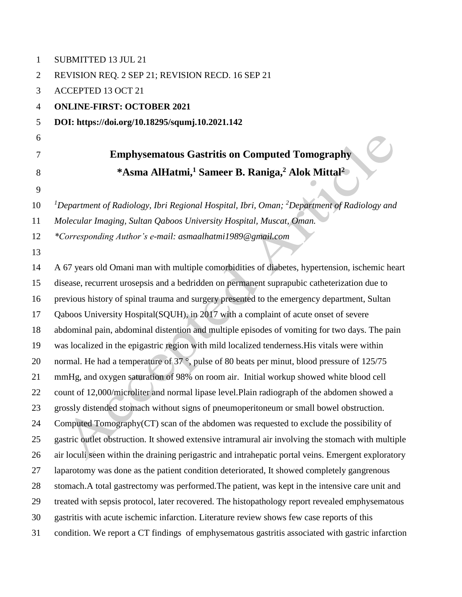| $\mathbf{1}$   | <b>SUBMITTED 13 JUL 21</b>                                                                                         |
|----------------|--------------------------------------------------------------------------------------------------------------------|
| $\overline{2}$ | REVISION REQ. 2 SEP 21; REVISION RECD. 16 SEP 21                                                                   |
| 3              | <b>ACCEPTED 13 OCT 21</b>                                                                                          |
| $\overline{4}$ | <b>ONLINE-FIRST: OCTOBER 2021</b>                                                                                  |
| 5              | DOI: https://doi.org/10.18295/squmj.10.2021.142                                                                    |
| 6              |                                                                                                                    |
| 7              | <b>Emphysematous Gastritis on Computed Tomography</b>                                                              |
| 8<br>9         | *Asma AlHatmi, <sup>1</sup> Sameer B. Raniga, <sup>2</sup> Alok Mittal <sup>2</sup>                                |
| 10             | <sup>1</sup> Department of Radiology, Ibri Regional Hospital, Ibri, Oman; <sup>2</sup> Department of Radiology and |
| 11             | Molecular Imaging, Sultan Qaboos University Hospital, Muscat, Oman.                                                |
| 12             | *Corresponding Author's e-mail: asmaalhatmi1989@gmail.com                                                          |
| 13             |                                                                                                                    |
| 14             | A 67 years old Omani man with multiple comorbidities of diabetes, hypertension, ischemic heart                     |
| 15             | disease, recurrent urosepsis and a bedridden on permanent suprapubic catheterization due to                        |
| 16             | previous history of spinal trauma and surgery presented to the emergency department, Sultan                        |
| 17             | Qaboos University Hospital(SQUH), in 2017 with a complaint of acute onset of severe                                |
| 18             | abdominal pain, abdominal distention and multiple episodes of vomiting for two days. The pain                      |
| 19             | was localized in the epigastric region with mild localized tenderness. His vitals were within                      |
| 20             | normal. He had a temperature of 37 °, pulse of 80 beats per minut, blood pressure of 125/75                        |
| 21             | mmHg, and oxygen saturation of 98% on room air. Initial workup showed white blood cell                             |
| 22             | count of 12,000/microliter and normal lipase level. Plain radiograph of the abdomen showed a                       |
| 23             | grossly distended stomach without signs of pneumoperitoneum or small bowel obstruction.                            |
| 24             | Computed Tomography(CT) scan of the abdomen was requested to exclude the possibility of                            |
| 25             | gastric outlet obstruction. It showed extensive intramural air involving the stomach with multiple                 |

air loculi seen within the draining perigastric and intrahepatic portal veins. Emergent exploratory

laparotomy was done as the patient condition deteriorated, It showed completely gangrenous

stomach.A total gastrectomy was performed.The patient, was kept in the intensive care unit and

treated with sepsis protocol, later recovered. The histopathology report revealed emphysematous

gastritis with acute ischemic infarction. Literature review shows few case reports of this

condition. We report a CT findings of emphysematous gastritis associated with gastric infarction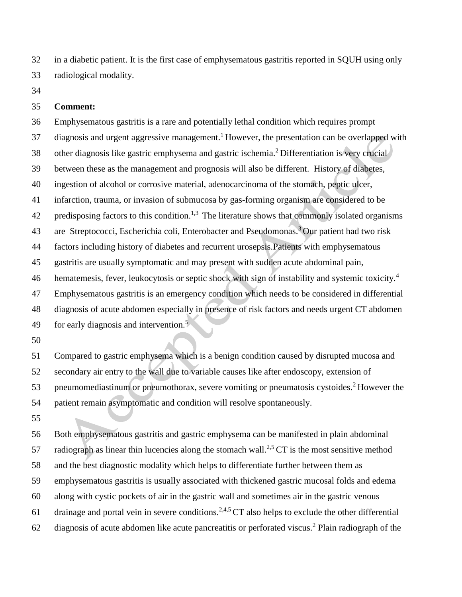in a diabetic patient. It is the first case of emphysematous gastritis reported in SQUH using only radiological modality.

## **Comment:**

 Emphysematous gastritis is a rare and potentially lethal condition which requires prompt diagnosis and urgent aggressive management.<sup>1</sup> However, the presentation can be overlapped with 38 other diagnosis like gastric emphysema and gastric ischemia.<sup>2</sup> Differentiation is very crucial between these as the management and prognosis will also be different. History of diabetes, ingestion of alcohol or corrosive material, adenocarcinoma of the stomach, peptic ulcer, infarction, trauma, or invasion of submucosa by gas-forming organism are considered to be 42 predisposing factors to this condition.<sup>1,3</sup> The literature shows that commonly isolated organisms 43 are Streptococci, Escherichia coli, Enterobacter and Pseudomonas.<sup>3</sup> Our patient had two risk factors including history of diabetes and recurrent urosepsis.Patients with emphysematous gastritis are usually symptomatic and may present with sudden acute abdominal pain, 46 hematemesis, fever, leukocytosis or septic shock with sign of instability and systemic toxicity.<sup>4</sup> Emphysematous gastritis is an emergency condition which needs to be considered in differential diagnosis of acute abdomen especially in presence of risk factors and needs urgent CT abdomen for early diagnosis and intervention.<sup>5</sup> 

 Compared to gastric emphysema which is a benign condition caused by disrupted mucosa and secondary air entry to the wall due to variable causes like after endoscopy, extension of 53 pneumomediastinum or pneumothorax, severe vomiting or pneumatosis cystoides.<sup>2</sup> However the patient remain asymptomatic and condition will resolve spontaneously.

 Both emphysematous gastritis and gastric emphysema can be manifested in plain abdominal 57 radiograph as linear thin lucencies along the stomach wall.<sup>2,5</sup>  $CT$  is the most sensitive method and the best diagnostic modality which helps to differentiate further between them as emphysematous gastritis is usually associated with thickened gastric mucosal folds and edema along with cystic pockets of air in the gastric wall and sometimes air in the gastric venous 61 drainage and portal vein in severe conditions.<sup>2,4,5</sup> CT also helps to exclude the other differential 62 diagnosis of acute abdomen like acute pancreatitis or perforated viscus.<sup>2</sup> Plain radiograph of the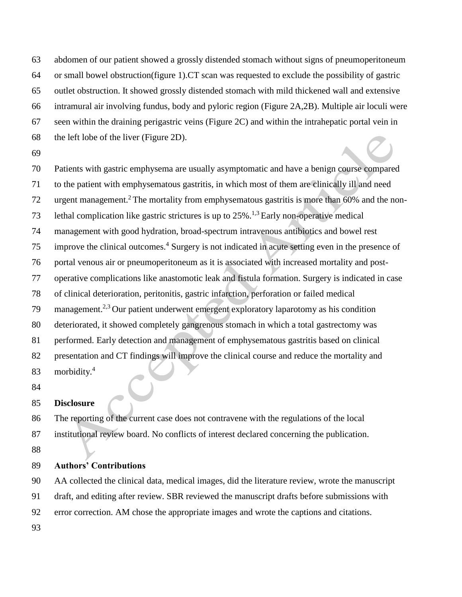abdomen of our patient showed a grossly distended stomach without signs of pneumoperitoneum or small bowel obstruction(figure 1).CT scan was requested to exclude the possibility of gastric outlet obstruction. It showed grossly distended stomach with mild thickened wall and extensive intramural air involving fundus, body and pyloric region [\(Figure](about:blank#2) 2A,2B). Multiple air loculi were seen within the draining perigastric veins [\(Figure](about:blank#2) 2C) and within the intrahepatic portal vein in the left lobe of the liver (Figure 2D).

 Patients with gastric emphysema are usually asymptomatic and have a benign course compared to the patient with emphysematous gastritis, in which most of them are clinically ill and need 72 urgent management.<sup>2</sup> The mortality from emphysematous gastritis is more than  $60\%$  and the non-73 Lethal complication like gastric strictures is up to  $25\%$ .<sup>1,3</sup> Early non-operative medical management with good hydration, broad-spectrum intravenous antibiotics and bowel rest improve the clinical outcomes.<sup>4</sup> Surgery is not indicated in acute setting even in the presence of portal venous air or pneumoperitoneum as it is associated with increased mortality and post- operative complications like anastomotic leak and fistula formation. Surgery is indicated in case of clinical deterioration, peritonitis, gastric infarction, perforation or failed medical management.<sup>2,3</sup> Our patient underwent emergent exploratory laparotomy as his condition deteriorated, it showed completely gangrenous stomach in which a total gastrectomy was performed. Early detection and management of emphysematous gastritis based on clinical presentation and CT findings will improve the clinical course and reduce the mortality and morbidity.<sup>4</sup> 

## **Disclosure**

 The reporting of the current case does not contravene with the regulations of the local institutional review board. No conflicts of interest declared concerning the publication.

## **Authors' Contributions**

AA collected the clinical data, medical images, did the literature review, wrote the manuscript

draft, and editing after review. SBR reviewed the manuscript drafts before submissions with

error correction. AM chose the appropriate images and wrote the captions and citations.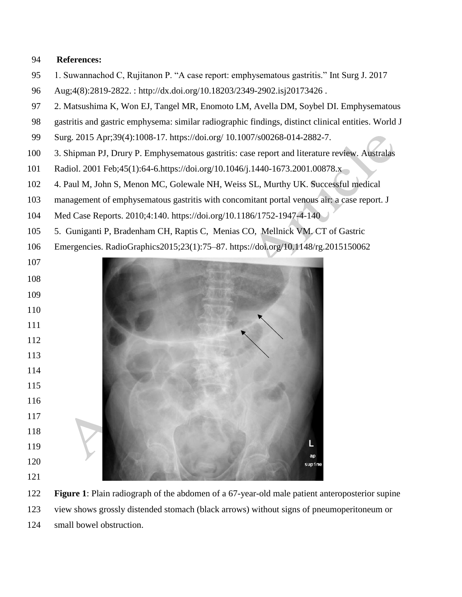## **References:**

- 1. Suwannachod C, Rujitanon P. "A case report: emphysematous gastritis." Int Surg J. 2017
- Aug;4(8):2819-2822. : [http://dx.doi.org/10.18203/2349-2902.isj20173426](https://dx.doi.org/10.18203/2349-2902.isj20173426) .
- 2. Matsushima K, Won EJ, Tangel MR, Enomoto LM, Avella DM, Soybel DI. Emphysematous
- gastritis and gastric emphysema: similar radiographic findings, distinct clinical entities. World J
- Surg. 2015 Apr;39(4):1008-17. https://doi.org/ [10.1007/s00268-014-2882-7.](https://doi.org/10.1007/s00268-014-2882-7)
- 3. Shipman PJ, Drury P. Emphysematous gastritis: case report and literature review. Australas
- Radiol. 2001 Feb;45(1):64-6.https://doi.org[/10.1046/j.1440-1673.2001.00878.x](https://doi.org/10.1046/j.1440-1673.2001.00878.x)
- 4. Paul M, John S, Menon MC, Golewale NH, Weiss SL, Murthy UK. Successful medical
- management of emphysematous gastritis with concomitant portal venous air: a case report. J
- Med Case Reports. 2010;4:140. <https://doi.org/10.1186/1752-1947-4-140>
- 5[. Guniganti](about:blank) P, Bradenham CH, Raptis C, Menias CO, Mellnick VM. CT of Gastric
- Emergencies. RadioGraphics2015;23(1):75–87.<https://doi.org/10.1148/rg.2015150062>



 **Figure 1**: Plain radiograph of the abdomen of a 67-year-old male patient anteroposterior supine view shows grossly distended stomach (black arrows) without signs of pneumoperitoneum or small bowel obstruction.